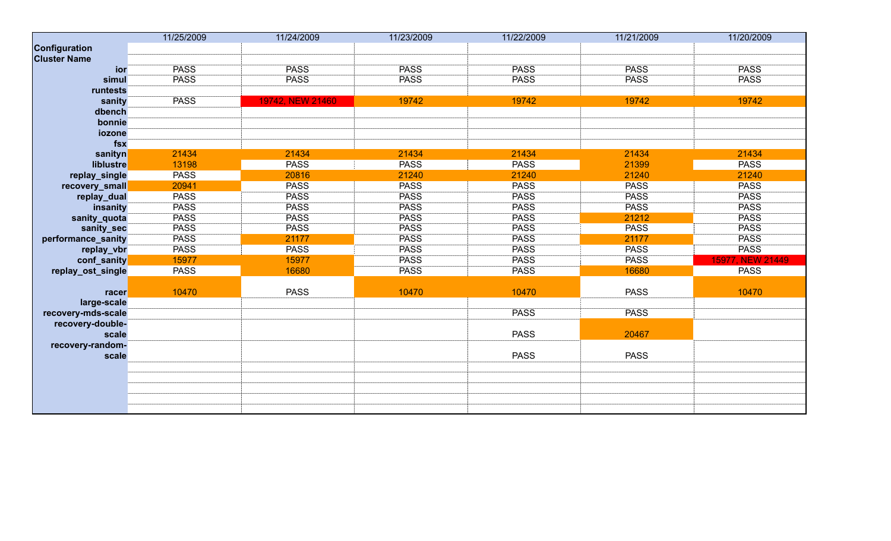|                     | 11/25/2009  | 11/24/2009       | 11/23/2009  | 11/22/2009  | 11/21/2009  | 11/20/2009       |
|---------------------|-------------|------------------|-------------|-------------|-------------|------------------|
| Configuration       |             |                  |             |             |             |                  |
| <b>Cluster Name</b> |             |                  |             |             |             |                  |
| ior                 | <b>PASS</b> | <b>PASS</b>      | <b>PASS</b> | <b>PASS</b> | <b>PASS</b> | <b>PASS</b>      |
| simul               | <b>PASS</b> | <b>PASS</b>      | <b>PASS</b> | <b>PASS</b> | <b>PASS</b> | <b>PASS</b>      |
| runtests            |             |                  |             |             |             |                  |
| sanity              | <b>PASS</b> | 19742, NEW 21460 | 19742       | 19742       | 19742       | 19742            |
| dbench              |             |                  |             |             |             |                  |
| bonnie              |             |                  |             |             |             |                  |
| iozone              |             |                  |             |             |             |                  |
| fsx                 |             |                  |             |             |             |                  |
| sanityn             | 21434       | 21434            | 21434       | 21434       | 21434       | 21434            |
| liblustre           | 13198       | <b>PASS</b>      | <b>PASS</b> | <b>PASS</b> | 21399       | <b>PASS</b>      |
| replay_single       | <b>PASS</b> | 20816            | 21240       | 21240       | 21240       | 21240            |
| recovery_small      | 20941       | <b>PASS</b>      | <b>PASS</b> | <b>PASS</b> | <b>PASS</b> | <b>PASS</b>      |
| replay_dual         | <b>PASS</b> | <b>PASS</b>      | <b>PASS</b> | <b>PASS</b> | <b>PASS</b> | <b>PASS</b>      |
| insanity            | <b>PASS</b> | <b>PASS</b>      | <b>PASS</b> | <b>PASS</b> | <b>PASS</b> | <b>PASS</b>      |
| sanity_quota        | <b>PASS</b> | <b>PASS</b>      | <b>PASS</b> | <b>PASS</b> | 21212       | <b>PASS</b>      |
| sanity_sec          | <b>PASS</b> | <b>PASS</b>      | <b>PASS</b> | <b>PASS</b> | <b>PASS</b> | <b>PASS</b>      |
| performance_sanity  | <b>PASS</b> | 21177            | <b>PASS</b> | <b>PASS</b> | 21177       | <b>PASS</b>      |
| replay_vbr          | <b>PASS</b> | <b>PASS</b>      | <b>PASS</b> | <b>PASS</b> | <b>PASS</b> | <b>PASS</b>      |
| conf_sanity         | 15977       | 15977            | <b>PASS</b> | <b>PASS</b> | <b>PASS</b> | 15977, NEW 21449 |
| replay_ost_single   | <b>PASS</b> | 16680            | <b>PASS</b> | <b>PASS</b> | 16680       | <b>PASS</b>      |
|                     |             |                  |             |             |             |                  |
| racer               | 10470       | <b>PASS</b>      | 10470       | 10470       | <b>PASS</b> | 10470            |
| large-scale         |             |                  |             |             |             |                  |
| recovery-mds-scale  |             |                  |             | <b>PASS</b> | <b>PASS</b> |                  |
| recovery-double-    |             |                  |             |             |             |                  |
| scale               |             |                  |             | <b>PASS</b> | 20467       |                  |
| recovery-random-    |             |                  |             |             |             |                  |
| scale               |             |                  |             | <b>PASS</b> | <b>PASS</b> |                  |
|                     |             |                  |             |             |             |                  |
|                     |             |                  |             |             |             |                  |
|                     |             |                  |             |             |             |                  |
|                     |             |                  |             |             |             |                  |
|                     |             |                  |             |             |             |                  |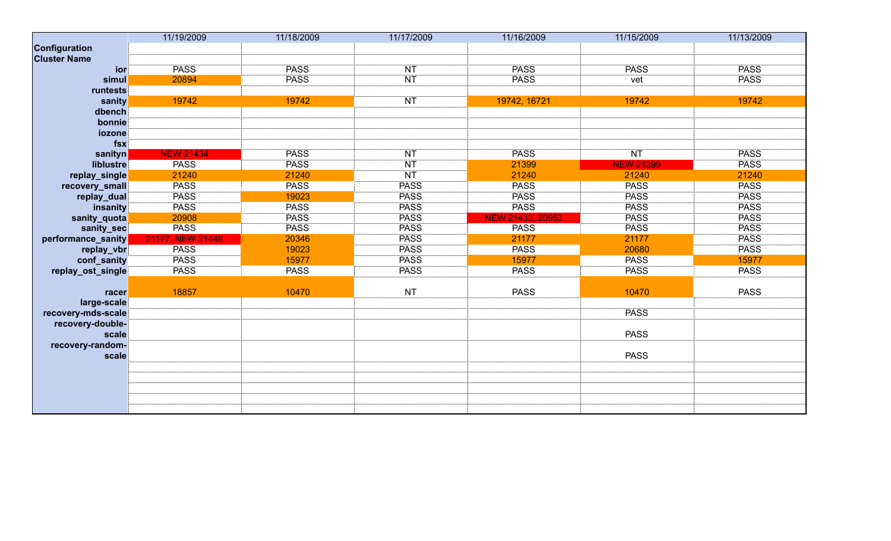|                     | 11/19/2009       | 11/18/2009  | 11/17/2009  | 11/16/2009              | 11/15/2009       | 11/13/2009  |
|---------------------|------------------|-------------|-------------|-------------------------|------------------|-------------|
| Configuration       |                  |             |             |                         |                  |             |
| <b>Cluster Name</b> |                  |             |             |                         |                  |             |
| <b>ior</b>          | <b>PASS</b>      | <b>PASS</b> | NT          | <b>PASS</b>             | <b>PASS</b>      | <b>PASS</b> |
| simul               | 20894            | <b>PASS</b> | NT          | <b>PASS</b>             | vet              | <b>PASS</b> |
| runtests            |                  |             |             |                         |                  |             |
| sanity              | 19742            | 19742       | NT          | 19742, 16721            | 19742            | 19742       |
| dbench              |                  |             |             |                         |                  |             |
| bonnie              |                  |             |             |                         |                  |             |
| iozone              |                  |             |             |                         |                  |             |
| $f$ sx              |                  |             |             |                         |                  |             |
| sanityn             | <b>NEW 21434</b> | <b>PASS</b> | <b>NT</b>   | <b>PASS</b>             | NT               | <b>PASS</b> |
| liblustre           | <b>PASS</b>      | <b>PASS</b> | NT          | 21399                   | <b>NEW 21399</b> | <b>PASS</b> |
| replay_single       | 21240            | 21240       | NT          | 21240                   | 21240            | 21240       |
| recovery_small      | <b>PASS</b>      | <b>PASS</b> | <b>PASS</b> | <b>PASS</b>             | <b>PASS</b>      | <b>PASS</b> |
| replay_dual         | <b>PASS</b>      | 19023       | <b>PASS</b> | <b>PASS</b>             | <b>PASS</b>      | <b>PASS</b> |
| insanity            | <b>PASS</b>      | <b>PASS</b> | <b>PASS</b> | <b>PASS</b>             | <b>PASS</b>      | <b>PASS</b> |
| sanity_quota        | 20908            | <b>PASS</b> | <b>PASS</b> | <b>NEW 21433, 20953</b> | <b>PASS</b>      | <b>PASS</b> |
| sanity_sec          | <b>PASS</b>      | <b>PASS</b> | <b>PASS</b> | <b>PASS</b>             | <b>PASS</b>      | <b>PASS</b> |
| performance_sanity  | 21177, NEW 21448 | 20346       | <b>PASS</b> | 21177                   | 21177            | <b>PASS</b> |
| replay_vbr          | <b>PASS</b>      | 19023       | <b>PASS</b> | <b>PASS</b>             | 20680            | <b>PASS</b> |
| conf_sanity         | <b>PASS</b>      | 15977       | <b>PASS</b> | 15977                   | <b>PASS</b>      | 15977       |
| replay_ost_single   | <b>PASS</b>      | <b>PASS</b> | <b>PASS</b> | <b>PASS</b>             | <b>PASS</b>      | <b>PASS</b> |
|                     |                  |             |             |                         |                  |             |
| racer               | 18857            | 10470       | <b>NT</b>   | <b>PASS</b>             | 10470            | <b>PASS</b> |
| large-scale         |                  |             |             |                         |                  |             |
| recovery-mds-scale  |                  |             |             |                         | <b>PASS</b>      |             |
| recovery-double-    |                  |             |             |                         |                  |             |
| scale               |                  |             |             |                         | <b>PASS</b>      |             |
| recovery-random-    |                  |             |             |                         |                  |             |
| scale               |                  |             |             |                         | <b>PASS</b>      |             |
|                     |                  |             |             |                         |                  |             |
|                     |                  |             |             |                         |                  |             |
|                     |                  |             |             |                         |                  |             |
|                     |                  |             |             |                         |                  |             |
|                     |                  |             |             |                         |                  |             |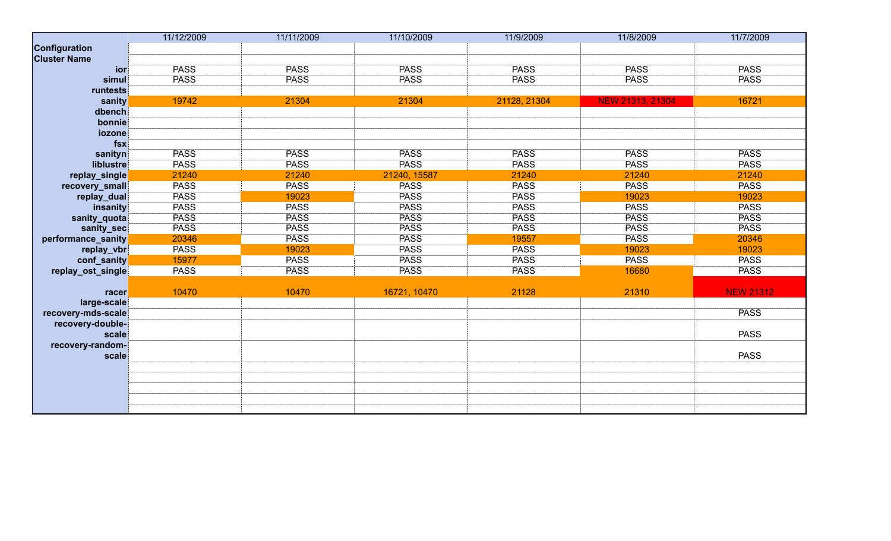|                     | 11/12/2009  | 11/11/2009  | 11/10/2009   | 11/9/2009    | 11/8/2009        | 11/7/2009        |
|---------------------|-------------|-------------|--------------|--------------|------------------|------------------|
| Configuration       |             |             |              |              |                  |                  |
| <b>Cluster Name</b> |             |             |              |              |                  |                  |
| ior                 | <b>PASS</b> | <b>PASS</b> | <b>PASS</b>  | <b>PASS</b>  | <b>PASS</b>      | <b>PASS</b>      |
| simul               | <b>PASS</b> | <b>PASS</b> | <b>PASS</b>  | <b>PASS</b>  | <b>PASS</b>      | <b>PASS</b>      |
| runtests            |             |             |              |              |                  |                  |
| sanity              | 19742       | 21304       | 21304        | 21128, 21304 | NEW 21313, 21304 | 16721            |
| dbench              |             |             |              |              |                  |                  |
| bonnie              |             |             |              |              |                  |                  |
| iozone              |             |             |              |              |                  |                  |
| fsx                 |             |             |              |              |                  |                  |
| sanityn             | <b>PASS</b> | <b>PASS</b> | <b>PASS</b>  | <b>PASS</b>  | <b>PASS</b>      | <b>PASS</b>      |
| liblustre           | <b>PASS</b> | <b>PASS</b> | <b>PASS</b>  | <b>PASS</b>  | <b>PASS</b>      | <b>PASS</b>      |
| replay_single       | 21240       | 21240       | 21240, 15587 | 21240        | 21240            | 21240            |
| recovery_small      | <b>PASS</b> | <b>PASS</b> | <b>PASS</b>  | <b>PASS</b>  | <b>PASS</b>      | <b>PASS</b>      |
| replay_dual         | <b>PASS</b> | 19023       | <b>PASS</b>  | <b>PASS</b>  | 19023            | 19023            |
| insanity            | <b>PASS</b> | <b>PASS</b> | <b>PASS</b>  | <b>PASS</b>  | <b>PASS</b>      | <b>PASS</b>      |
| sanity_quota        | <b>PASS</b> | <b>PASS</b> | <b>PASS</b>  | <b>PASS</b>  | <b>PASS</b>      | <b>PASS</b>      |
| sanity_sec          | <b>PASS</b> | <b>PASS</b> | <b>PASS</b>  | <b>PASS</b>  | <b>PASS</b>      | <b>PASS</b>      |
| performance_sanity  | 20346       | <b>PASS</b> | <b>PASS</b>  | 19557        | <b>PASS</b>      | 20346            |
| replay_vbr          | <b>PASS</b> | 19023       | <b>PASS</b>  | <b>PASS</b>  | 19023            | 19023            |
| conf_sanity         | 15977       | <b>PASS</b> | <b>PASS</b>  | <b>PASS</b>  | <b>PASS</b>      | <b>PASS</b>      |
| replay_ost_single   | <b>PASS</b> | <b>PASS</b> | <b>PASS</b>  | <b>PASS</b>  | 16680            | <b>PASS</b>      |
|                     |             |             |              |              |                  |                  |
| racer               | 10470       | 10470       | 16721, 10470 | 21128        | 21310            | <b>NEW 21312</b> |
| large-scale         |             |             |              |              |                  |                  |
| recovery-mds-scale  |             |             |              |              |                  | <b>PASS</b>      |
| recovery-double-    |             |             |              |              |                  |                  |
| scale               |             |             |              |              |                  | <b>PASS</b>      |
| recovery-random-    |             |             |              |              |                  |                  |
| scale               |             |             |              |              |                  | <b>PASS</b>      |
|                     |             |             |              |              |                  |                  |
|                     |             |             |              |              |                  |                  |
|                     |             |             |              |              |                  |                  |
|                     |             |             |              |              |                  |                  |
|                     |             |             |              |              |                  |                  |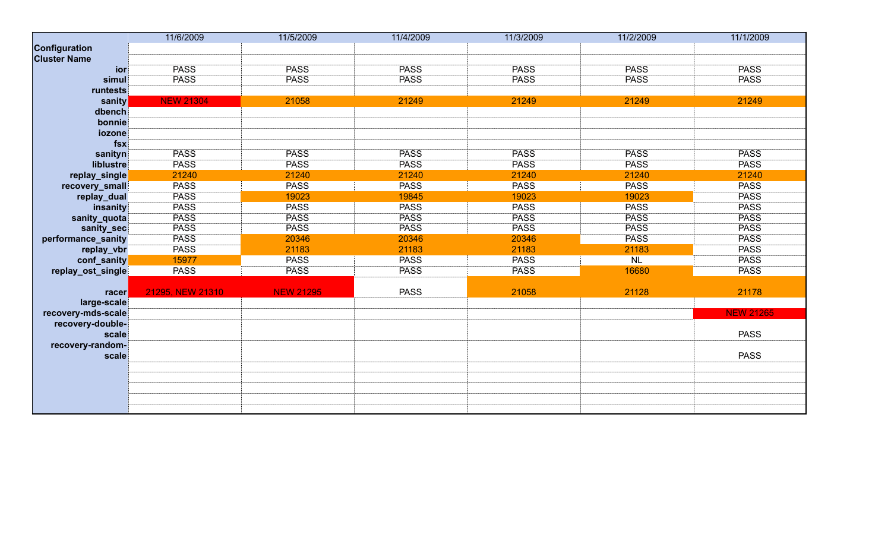|                     | 11/6/2009        | 11/5/2009        | 11/4/2009   | 11/3/2009   | 11/2/2009   | 11/1/2009        |
|---------------------|------------------|------------------|-------------|-------------|-------------|------------------|
| Configuration       |                  |                  |             |             |             |                  |
| <b>Cluster Name</b> |                  |                  |             |             |             |                  |
| ior                 | <b>PASS</b>      | <b>PASS</b>      | <b>PASS</b> | <b>PASS</b> | <b>PASS</b> | <b>PASS</b>      |
| simul               | <b>PASS</b>      | <b>PASS</b>      | <b>PASS</b> | <b>PASS</b> | <b>PASS</b> | <b>PASS</b>      |
| runtests            |                  |                  |             |             |             |                  |
| sanity              | <b>NEW 21304</b> | 21058            | 21249       | 21249       | 21249       | 21249            |
| dbench              |                  |                  |             |             |             |                  |
| bonnie              |                  |                  |             |             |             |                  |
| iozone              |                  |                  |             |             |             |                  |
| fsx                 |                  |                  |             |             |             |                  |
| sanityn             | <b>PASS</b>      | <b>PASS</b>      | <b>PASS</b> | <b>PASS</b> | <b>PASS</b> | <b>PASS</b>      |
| liblustre           | <b>PASS</b>      | <b>PASS</b>      | <b>PASS</b> | <b>PASS</b> | <b>PASS</b> | <b>PASS</b>      |
| replay_single       | 21240            | 21240            | 21240       | 21240       | 21240       | 21240            |
| recovery_small      | <b>PASS</b>      | <b>PASS</b>      | <b>PASS</b> | <b>PASS</b> | <b>PASS</b> | <b>PASS</b>      |
| replay_dual         | <b>PASS</b>      | 19023            | 19845       | 19023       | 19023       | <b>PASS</b>      |
| insanity            | <b>PASS</b>      | <b>PASS</b>      | <b>PASS</b> | <b>PASS</b> | <b>PASS</b> | <b>PASS</b>      |
| sanity_quota        | <b>PASS</b>      | <b>PASS</b>      | <b>PASS</b> | <b>PASS</b> | <b>PASS</b> | <b>PASS</b>      |
| sanity_sec          | <b>PASS</b>      | <b>PASS</b>      | <b>PASS</b> | <b>PASS</b> | <b>PASS</b> | <b>PASS</b>      |
| performance_sanity  | <b>PASS</b>      | 20346            | 20346       | 20346       | <b>PASS</b> | <b>PASS</b>      |
| replay_vbr          | <b>PASS</b>      | 21183            | 21183       | 21183       | 21183       | <b>PASS</b>      |
| conf_sanity         | 15977            | <b>PASS</b>      | <b>PASS</b> | <b>PASS</b> | NL          | <b>PASS</b>      |
| replay_ost_single   | <b>PASS</b>      | <b>PASS</b>      | <b>PASS</b> | <b>PASS</b> | 16680       | <b>PASS</b>      |
|                     |                  |                  |             |             |             |                  |
| <b>racer</b>        | 21295, NEW 21310 | <b>NEW 21295</b> | <b>PASS</b> | 21058       | 21128       | 21178            |
| large-scale         |                  |                  |             |             |             |                  |
| recovery-mds-scale  |                  |                  |             |             |             | <b>NEW 21265</b> |
| recovery-double-    |                  |                  |             |             |             |                  |
| scale               |                  |                  |             |             |             | <b>PASS</b>      |
| recovery-random-    |                  |                  |             |             |             |                  |
| scale               |                  |                  |             |             |             | <b>PASS</b>      |
|                     |                  |                  |             |             |             |                  |
|                     |                  |                  |             |             |             |                  |
|                     |                  |                  |             |             |             |                  |
|                     |                  |                  |             |             |             |                  |
|                     |                  |                  |             |             |             |                  |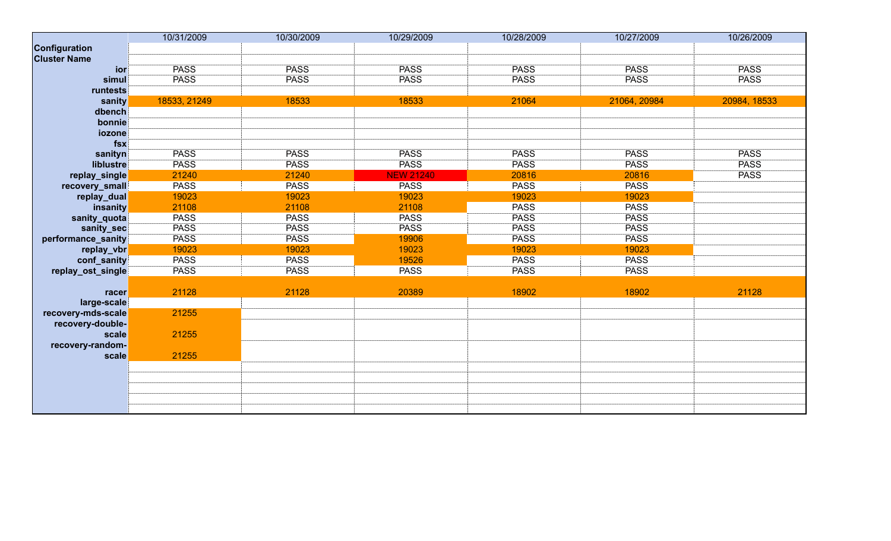|                     | 10/31/2009   | 10/30/2009  | 10/29/2009       | 10/28/2009  | 10/27/2009   | 10/26/2009   |
|---------------------|--------------|-------------|------------------|-------------|--------------|--------------|
| Configuration       |              |             |                  |             |              |              |
| <b>Cluster Name</b> |              |             |                  |             |              |              |
| ior                 | <b>PASS</b>  | <b>PASS</b> | <b>PASS</b>      | <b>PASS</b> | <b>PASS</b>  | <b>PASS</b>  |
| simul               | <b>PASS</b>  | <b>PASS</b> | <b>PASS</b>      | <b>PASS</b> | <b>PASS</b>  | <b>PASS</b>  |
| runtests            |              |             |                  |             |              |              |
| sanity              | 18533, 21249 | 18533       | 18533            | 21064       | 21064, 20984 | 20984, 18533 |
| dbench              |              |             |                  |             |              |              |
| bonnie              |              |             |                  |             |              |              |
| iozone              |              |             |                  |             |              |              |
| $f$ sx              |              |             |                  |             |              |              |
| sanityn             | <b>PASS</b>  | <b>PASS</b> | <b>PASS</b>      | <b>PASS</b> | <b>PASS</b>  | <b>PASS</b>  |
| liblustre           | <b>PASS</b>  | <b>PASS</b> | <b>PASS</b>      | <b>PASS</b> | <b>PASS</b>  | <b>PASS</b>  |
| replay_single       | 21240        | 21240       | <b>NEW 21240</b> | 20816       | 20816        | <b>PASS</b>  |
| recovery_small      | <b>PASS</b>  | <b>PASS</b> | <b>PASS</b>      | <b>PASS</b> | <b>PASS</b>  |              |
| replay_dual         | 19023        | 19023       | 19023            | 19023       | 19023        |              |
| insanity            | 21108        | 21108       | 21108            | <b>PASS</b> | <b>PASS</b>  |              |
| sanity_quota        | <b>PASS</b>  | <b>PASS</b> | <b>PASS</b>      | <b>PASS</b> | <b>PASS</b>  |              |
| sanity_sec          | <b>PASS</b>  | <b>PASS</b> | <b>PASS</b>      | <b>PASS</b> | <b>PASS</b>  |              |
| performance_sanity  | <b>PASS</b>  | <b>PASS</b> | 19906            | <b>PASS</b> | <b>PASS</b>  |              |
| replay_vbr          | 19023        | 19023       | 19023            | 19023       | 19023        |              |
| conf_sanity         | <b>PASS</b>  | <b>PASS</b> | 19526            | <b>PASS</b> | <b>PASS</b>  |              |
| replay_ost_single   | <b>PASS</b>  | <b>PASS</b> | <b>PASS</b>      | <b>PASS</b> | <b>PASS</b>  |              |
|                     |              |             |                  |             |              |              |
| racer               | 21128        | 21128       | 20389            | 18902       | 18902        | 21128        |
| large-scale         |              |             |                  |             |              |              |
| recovery-mds-scale  | 21255        |             |                  |             |              |              |
| recovery-double-    |              |             |                  |             |              |              |
| scale               | 21255        |             |                  |             |              |              |
| recovery-random-    |              |             |                  |             |              |              |
| scale               | 21255        |             |                  |             |              |              |
|                     |              |             |                  |             |              |              |
|                     |              |             |                  |             |              |              |
|                     |              |             |                  |             |              |              |
|                     |              |             |                  |             |              |              |
|                     |              |             |                  |             |              |              |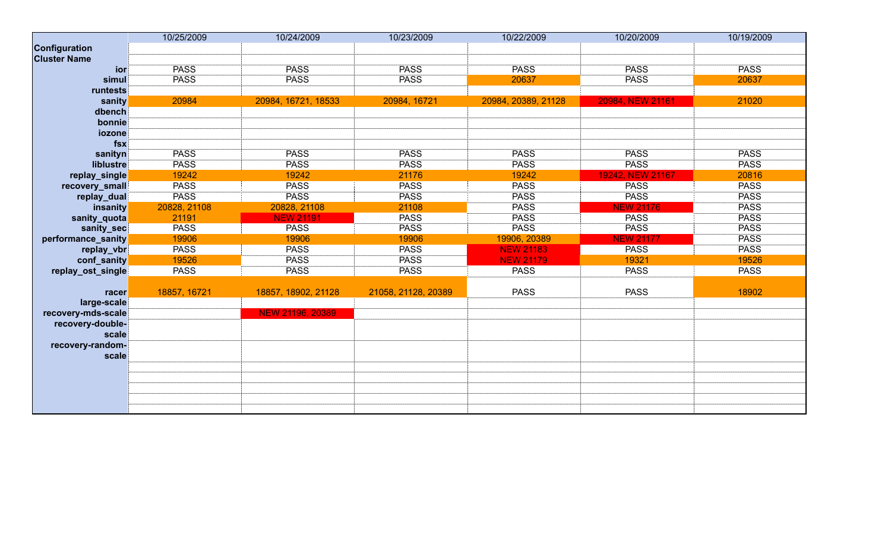|                     | 10/25/2009   | 10/24/2009              | 10/23/2009          | 10/22/2009          | 10/20/2009       | 10/19/2009  |
|---------------------|--------------|-------------------------|---------------------|---------------------|------------------|-------------|
| Configuration       |              |                         |                     |                     |                  |             |
| <b>Cluster Name</b> |              |                         |                     |                     |                  |             |
| ior                 | <b>PASS</b>  | <b>PASS</b>             | <b>PASS</b>         | <b>PASS</b>         | <b>PASS</b>      | <b>PASS</b> |
| simul               | <b>PASS</b>  | <b>PASS</b>             | <b>PASS</b>         | 20637               | <b>PASS</b>      | 20637       |
| runtests            |              |                         |                     |                     |                  |             |
| sanity              | 20984        | 20984, 16721, 18533     | 20984, 16721        | 20984, 20389, 21128 | 20984, NEW 21161 | 21020       |
| dbench              |              |                         |                     |                     |                  |             |
| bonnie              |              |                         |                     |                     |                  |             |
| iozone              |              |                         |                     |                     |                  |             |
| $f$ sx              |              |                         |                     |                     |                  |             |
| sanityn             | <b>PASS</b>  | <b>PASS</b>             | <b>PASS</b>         | <b>PASS</b>         | <b>PASS</b>      | <b>PASS</b> |
| liblustre           | <b>PASS</b>  | <b>PASS</b>             | <b>PASS</b>         | <b>PASS</b>         | <b>PASS</b>      | <b>PASS</b> |
| replay_single       | 19242        | 19242                   | 21176               | 19242               | 19242, NEW 21167 | 20816       |
| recovery_small      | <b>PASS</b>  | <b>PASS</b>             | <b>PASS</b>         | <b>PASS</b>         | <b>PASS</b>      | <b>PASS</b> |
| replay_dual         | <b>PASS</b>  | <b>PASS</b>             | <b>PASS</b>         | <b>PASS</b>         | <b>PASS</b>      | <b>PASS</b> |
| insanity            | 20828, 21108 | 20828, 21108            | 21108               | <b>PASS</b>         | <b>NEW 21176</b> | <b>PASS</b> |
| sanity_quota        | 21191        | <b>NEW 21191</b>        | <b>PASS</b>         | <b>PASS</b>         | <b>PASS</b>      | <b>PASS</b> |
| sanity_sec          | <b>PASS</b>  | <b>PASS</b>             | <b>PASS</b>         | <b>PASS</b>         | <b>PASS</b>      | <b>PASS</b> |
| performance_sanity  | 19906        | 19906                   | 19906               | 19906, 20389        | <b>NEW 21177</b> | <b>PASS</b> |
| replay_vbr          | <b>PASS</b>  | <b>PASS</b>             | <b>PASS</b>         | <b>NEW 21183</b>    | <b>PASS</b>      | <b>PASS</b> |
| conf_sanity         | 19526        | <b>PASS</b>             | <b>PASS</b>         | <b>NEW 21179</b>    | 19321            | 19526       |
| replay_ost_single   | <b>PASS</b>  | <b>PASS</b>             | <b>PASS</b>         | <b>PASS</b>         | <b>PASS</b>      | <b>PASS</b> |
|                     |              |                         |                     |                     |                  |             |
| racer               | 18857, 16721 | 18857, 18902, 21128     | 21058, 21128, 20389 | <b>PASS</b>         | <b>PASS</b>      | 18902       |
| large-scale         |              |                         |                     |                     |                  |             |
| recovery-mds-scale  |              | <b>NEW 21196, 20389</b> |                     |                     |                  |             |
| recovery-double-    |              |                         |                     |                     |                  |             |
| scale               |              |                         |                     |                     |                  |             |
| recovery-random-    |              |                         |                     |                     |                  |             |
| scale               |              |                         |                     |                     |                  |             |
|                     |              |                         |                     |                     |                  |             |
|                     |              |                         |                     |                     |                  |             |
|                     |              |                         |                     |                     |                  |             |
|                     |              |                         |                     |                     |                  |             |
|                     |              |                         |                     |                     |                  |             |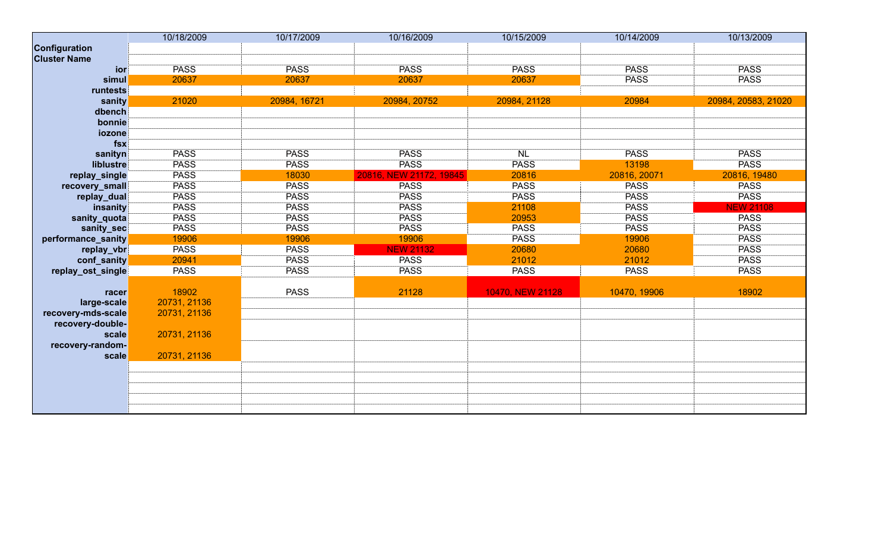|                     | 10/18/2009   | 10/17/2009   | 10/16/2009              | 10/15/2009       | 10/14/2009   | 10/13/2009          |
|---------------------|--------------|--------------|-------------------------|------------------|--------------|---------------------|
| Configuration       |              |              |                         |                  |              |                     |
| <b>Cluster Name</b> |              |              |                         |                  |              |                     |
| ior                 | <b>PASS</b>  | <b>PASS</b>  | <b>PASS</b>             | <b>PASS</b>      | <b>PASS</b>  | <b>PASS</b>         |
| simul               | 20637        | 20637        | 20637                   | 20637            | <b>PASS</b>  | <b>PASS</b>         |
| runtests            |              |              |                         |                  |              |                     |
| sanity              | 21020        | 20984, 16721 | 20984, 20752            | 20984, 21128     | 20984        | 20984, 20583, 21020 |
| dbench              |              |              |                         |                  |              |                     |
| bonnie              |              |              |                         |                  |              |                     |
| iozone              |              |              |                         |                  |              |                     |
| fsx                 |              |              |                         |                  |              |                     |
| sanityn             | <b>PASS</b>  | <b>PASS</b>  | <b>PASS</b>             | N <sub>L</sub>   | <b>PASS</b>  | <b>PASS</b>         |
| liblustre           | <b>PASS</b>  | <b>PASS</b>  | <b>PASS</b>             | <b>PASS</b>      | 13198        | <b>PASS</b>         |
| replay_single       | <b>PASS</b>  | 18030        | 20816, NEW 21172, 19845 | 20816            | 20816, 20071 | 20816, 19480        |
| recovery_small      | <b>PASS</b>  | <b>PASS</b>  | <b>PASS</b>             | <b>PASS</b>      | <b>PASS</b>  | <b>PASS</b>         |
| replay_dual         | <b>PASS</b>  | <b>PASS</b>  | <b>PASS</b>             | <b>PASS</b>      | <b>PASS</b>  | <b>PASS</b>         |
| insanity            | <b>PASS</b>  | <b>PASS</b>  | <b>PASS</b>             | 21108            | <b>PASS</b>  | <b>NEW 21108</b>    |
| sanity_quota        | <b>PASS</b>  | <b>PASS</b>  | <b>PASS</b>             | 20953            | <b>PASS</b>  | <b>PASS</b>         |
| sanity_sec          | <b>PASS</b>  | <b>PASS</b>  | <b>PASS</b>             | <b>PASS</b>      | <b>PASS</b>  | <b>PASS</b>         |
| performance_sanity  | 19906        | 19906        | 19906                   | <b>PASS</b>      | 19906        | <b>PASS</b>         |
| replay_vbr          | <b>PASS</b>  | <b>PASS</b>  | <b>NEW 21132</b>        | 20680            | 20680        | <b>PASS</b>         |
| conf_sanity         | 20941        | <b>PASS</b>  | <b>PASS</b>             | 21012            | 21012        | <b>PASS</b>         |
| replay_ost_single   | <b>PASS</b>  | <b>PASS</b>  | <b>PASS</b>             | <b>PASS</b>      | <b>PASS</b>  | <b>PASS</b>         |
|                     |              |              |                         |                  |              |                     |
| racer               | 18902        | <b>PASS</b>  | 21128                   | 10470, NEW 21128 | 10470, 19906 | 18902               |
| large-scale         | 20731, 21136 |              |                         |                  |              |                     |
| recovery-mds-scale  | 20731, 21136 |              |                         |                  |              |                     |
| recovery-double-    |              |              |                         |                  |              |                     |
| scale               | 20731, 21136 |              |                         |                  |              |                     |
| recovery-random-    |              |              |                         |                  |              |                     |
| scale               | 20731, 21136 |              |                         |                  |              |                     |
|                     |              |              |                         |                  |              |                     |
|                     |              |              |                         |                  |              |                     |
|                     |              |              |                         |                  |              |                     |
|                     |              |              |                         |                  |              |                     |
|                     |              |              |                         |                  |              |                     |